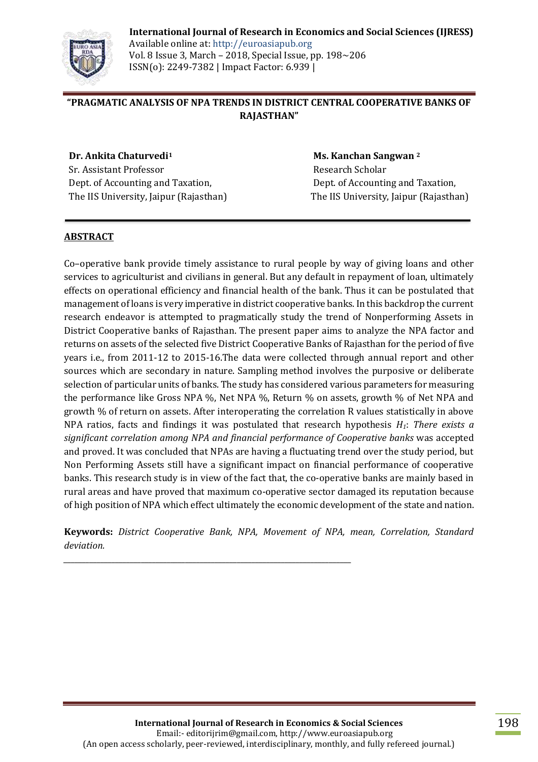

**International Journal of Research in Economics and Social Sciences (IJRESS)** Available online at: http://euroasiapub.org Vol. 8 Issue 3, March – 2018, Special Issue, pp. 198~206 ISSN(o): 2249-7382 | Impact Factor: 6.939 |

# **"PRAGMATIC ANALYSIS OF NPA TRENDS IN DISTRICT CENTRAL COOPERATIVE BANKS OF RAJASTHAN"**

**Dr. Ankita Chaturvedi<sup>1</sup>** Sr. Assistant Professor Dept. of Accounting and Taxation, The IIS University, Jaipur (Rajasthan)

 **Ms. Kanchan Sangwan <sup>2</sup>** Research Scholar Dept. of Accounting and Taxation, The IIS University, Jaipur (Rajasthan)

## **ABSTRACT**

Co–operative bank provide timely assistance to rural people by way of giving loans and other services to agriculturist and civilians in general. But any default in repayment of loan, ultimately effects on operational efficiency and financial health of the bank. Thus it can be postulated that management of loans is very imperative in district cooperative banks. In this backdrop the current research endeavor is attempted to pragmatically study the trend of Nonperforming Assets in District Cooperative banks of Rajasthan. The present paper aims to analyze the NPA factor and returns on assets of the selected five District Cooperative Banks of Rajasthan for the period of five years i.e., from 2011-12 to 2015-16.The data were collected through annual report and other sources which are secondary in nature. Sampling method involves the purposive or deliberate selection of particular units of banks. The study has considered various parameters for measuring the performance like Gross NPA %, Net NPA %, Return % on assets, growth % of Net NPA and growth % of return on assets. After interoperating the correlation R values statistically in above NPA ratios, facts and findings it was postulated that research hypothesis *H1*: *There exists a significant correlation among NPA and financial performance of Cooperative banks* was accepted and proved. It was concluded that NPAs are having a fluctuating trend over the study period, but Non Performing Assets still have a significant impact on financial performance of cooperative banks. This research study is in view of the fact that, the co-operative banks are mainly based in rural areas and have proved that maximum co-operative sector damaged its reputation because of high position of NPA which effect ultimately the economic development of the state and nation.

**Keywords:** *District Cooperative Bank, NPA, Movement of NPA, mean, Correlation, Standard deviation.*

*\_\_\_\_\_\_\_\_\_\_\_\_\_\_\_\_\_\_\_\_\_\_\_\_\_\_\_\_\_\_\_\_\_\_\_\_\_\_\_\_\_\_\_\_\_\_\_\_\_\_\_\_\_\_\_\_\_\_\_\_\_\_\_\_\_\_\_\_\_\_\_\_\_\_\_\_\_\_*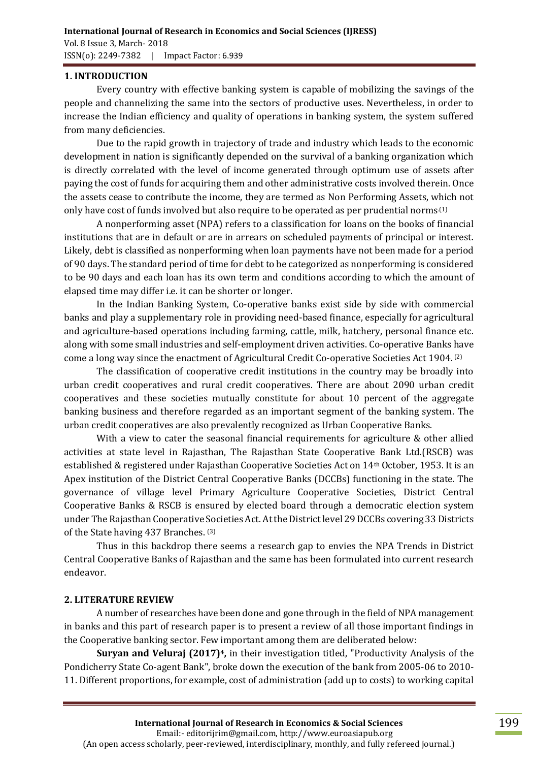## **1. INTRODUCTION**

Every country with effective banking system is capable of mobilizing the savings of the people and channelizing the same into the sectors of productive uses. Nevertheless, in order to increase the Indian efficiency and quality of operations in banking system, the system suffered from many deficiencies.

Due to the rapid growth in trajectory of trade and industry which leads to the economic development in nation is significantly depended on the survival of a banking organization which is directly correlated with the level of income generated through optimum use of assets after paying the cost of funds for acquiring them and other administrative costs involved therein. Once the assets cease to contribute the income, they are termed as Non Performing Assets, which not only have cost of funds involved but also require to be operated as per prudential norms<sup> $(1)$ </sup>

A nonperforming asset (NPA) refers to a classification for loans on the books of financial institutions that are in default or are in arrears on scheduled payments of principal or interest. Likely, debt is classified as nonperforming when loan payments have not been made for a period of 90 days. The standard period of time for debt to be categorized as nonperforming is considered to be 90 days and each loan has its own term and conditions according to which the amount of elapsed time may differ i.e. it can be shorter or longer.

In the Indian Banking System, Co-operative banks exist side by side with commercial banks and play a supplementary role in providing need-based finance, especially for agricultural and agriculture-based operations including farming, cattle, milk, hatchery, personal finance etc. along with some small industries and self-employment driven activities. Co-operative Banks have come a long way since the enactment of Agricultural Credit Co-operative Societies Act 1904. (2)

The classification of cooperative credit institutions in the country may be broadly into urban credit cooperatives and rural credit cooperatives. There are about 2090 urban credit cooperatives and these societies mutually constitute for about 10 percent of the aggregate banking business and therefore regarded as an important segment of the banking system. The urban credit cooperatives are also prevalently recognized as Urban Cooperative Banks.

With a view to cater the seasonal financial requirements for agriculture & other allied activities at state level in Rajasthan, The Rajasthan State Cooperative Bank Ltd.(RSCB) was established & registered under Rajasthan Cooperative Societies Act on 14th October, 1953. It is an Apex institution of the District Central Cooperative Banks (DCCBs) functioning in the state. The governance of village level Primary Agriculture Cooperative Societies, District Central Cooperative Banks & RSCB is ensured by elected board through a democratic election system under The Rajasthan Cooperative Societies Act. At the District level 29 DCCBs covering 33 Districts of the State having 437 Branches. (3)

Thus in this backdrop there seems a research gap to envies the NPA Trends in District Central Cooperative Banks of Rajasthan and the same has been formulated into current research endeavor.

#### **2. LITERATURE REVIEW**

A number of researches have been done and gone through in the field of NPA management in banks and this part of research paper is to present a review of all those important findings in the Cooperative banking sector. Few important among them are deliberated below:

**Suryan and Veluraj (2017)4,** in their investigation titled, "Productivity Analysis of the Pondicherry State Co-agent Bank", broke down the execution of the bank from 2005-06 to 2010- 11. Different proportions, for example, cost of administration (add up to costs) to working capital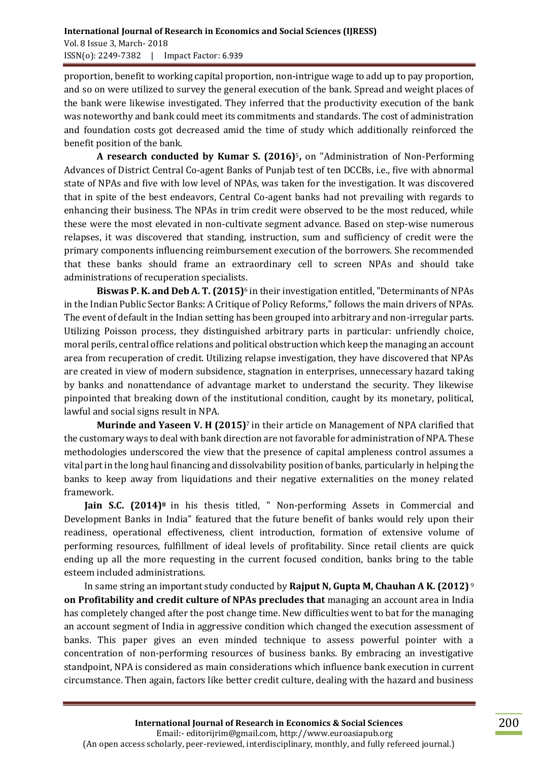proportion, benefit to working capital proportion, non-intrigue wage to add up to pay proportion, and so on were utilized to survey the general execution of the bank. Spread and weight places of the bank were likewise investigated. They inferred that the productivity execution of the bank was noteworthy and bank could meet its commitments and standards. The cost of administration and foundation costs got decreased amid the time of study which additionally reinforced the benefit position of the bank.

**A research conducted by Kumar S. (2016)**5**,** on "Administration of Non-Performing Advances of District Central Co-agent Banks of Punjab test of ten DCCBs, i.e., five with abnormal state of NPAs and five with low level of NPAs, was taken for the investigation. It was discovered that in spite of the best endeavors, Central Co-agent banks had not prevailing with regards to enhancing their business. The NPAs in trim credit were observed to be the most reduced, while these were the most elevated in non-cultivate segment advance. Based on step-wise numerous relapses, it was discovered that standing, instruction, sum and sufficiency of credit were the primary components influencing reimbursement execution of the borrowers. She recommended that these banks should frame an extraordinary cell to screen NPAs and should take administrations of recuperation specialists.

**Biswas P. K. and Deb A. T. (2015)**<sup>6</sup> in their investigation entitled, "Determinants of NPAs in the Indian Public Sector Banks: A Critique of Policy Reforms," follows the main drivers of NPAs. The event of default in the Indian setting has been grouped into arbitrary and non-irregular parts. Utilizing Poisson process, they distinguished arbitrary parts in particular: unfriendly choice, moral perils, central office relations and political obstruction which keep the managing an account area from recuperation of credit. Utilizing relapse investigation, they have discovered that NPAs are created in view of modern subsidence, stagnation in enterprises, unnecessary hazard taking by banks and nonattendance of advantage market to understand the security. They likewise pinpointed that breaking down of the institutional condition, caught by its monetary, political, lawful and social signs result in NPA.

**Murinde and Yaseen V. H (2015)**7 in their article on Management of NPA clarified that the customary ways to deal with bank direction are not favorable for administration of NPA. These methodologies underscored the view that the presence of capital ampleness control assumes a vital part in the long haul financing and dissolvability position of banks, particularly in helping the banks to keep away from liquidations and their negative externalities on the money related framework.

**Jain S.C. (2014)<sup>8</sup>** in his thesis titled, " Non-performing Assets in Commercial and Development Banks in India" featured that the future benefit of banks would rely upon their readiness, operational effectiveness, client introduction, formation of extensive volume of performing resources, fulfillment of ideal levels of profitability. Since retail clients are quick ending up all the more requesting in the current focused condition, banks bring to the table esteem included administrations.

In same string an important study conducted by **Rajput N, Gupta M, Chauhan A K. (2012)** <sup>9</sup> **on Profitability and credit culture of NPAs precludes that** managing an account area in India has completely changed after the post change time. New difficulties went to bat for the managing an account segment of India in aggressive condition which changed the execution assessment of banks. This paper gives an even minded technique to assess powerful pointer with a concentration of non-performing resources of business banks. By embracing an investigative standpoint, NPA is considered as main considerations which influence bank execution in current circumstance. Then again, factors like better credit culture, dealing with the hazard and business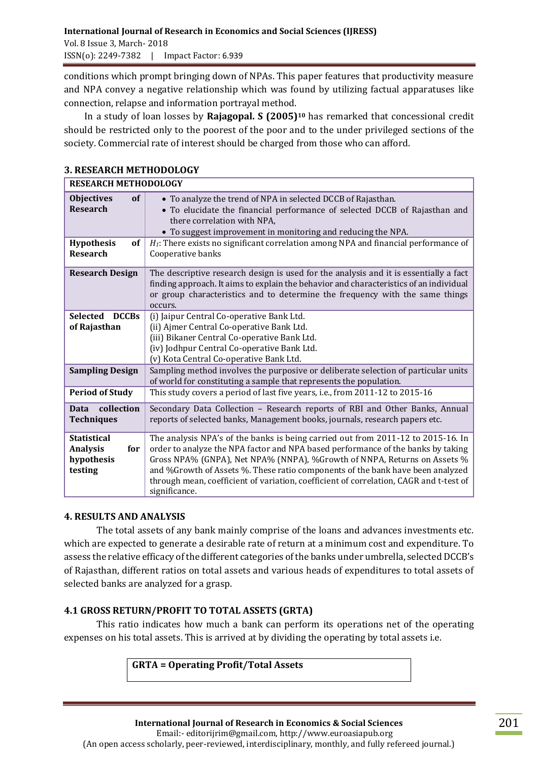conditions which prompt bringing down of NPAs. This paper features that productivity measure and NPA convey a negative relationship which was found by utilizing factual apparatuses like connection, relapse and information portrayal method.

In a study of loan losses by **Rajagopal. S (2005)<sup>10</sup>** has remarked that concessional credit should be restricted only to the poorest of the poor and to the under privileged sections of the society. Commercial rate of interest should be charged from those who can afford.

#### **3. RESEARCH METHODOLOGY**

| <b>RESEARCH METHODOLOGY</b>                                           |                                                                                                                                                                                                                                                                                                                                                                                                                                               |  |  |  |  |
|-----------------------------------------------------------------------|-----------------------------------------------------------------------------------------------------------------------------------------------------------------------------------------------------------------------------------------------------------------------------------------------------------------------------------------------------------------------------------------------------------------------------------------------|--|--|--|--|
| of<br><b>Objectives</b><br><b>Research</b>                            | • To analyze the trend of NPA in selected DCCB of Rajasthan.<br>• To elucidate the financial performance of selected DCCB of Rajasthan and<br>there correlation with NPA,<br>• To suggest improvement in monitoring and reducing the NPA.                                                                                                                                                                                                     |  |  |  |  |
| <b>Hypothesis</b><br>of<br><b>Research</b>                            | $H_1$ : There exists no significant correlation among NPA and financial performance of<br>Cooperative banks                                                                                                                                                                                                                                                                                                                                   |  |  |  |  |
| <b>Research Design</b>                                                | The descriptive research design is used for the analysis and it is essentially a fact<br>finding approach. It aims to explain the behavior and characteristics of an individual<br>or group characteristics and to determine the frequency with the same things<br>occurs.                                                                                                                                                                    |  |  |  |  |
| <b>DCCBs</b><br><b>Selected</b><br>of Rajasthan                       | (i) Jaipur Central Co-operative Bank Ltd.<br>(ii) Ajmer Central Co-operative Bank Ltd.<br>(iii) Bikaner Central Co-operative Bank Ltd.<br>(iv) Jodhpur Central Co-operative Bank Ltd.<br>(v) Kota Central Co-operative Bank Ltd.                                                                                                                                                                                                              |  |  |  |  |
| <b>Sampling Design</b>                                                | Sampling method involves the purposive or deliberate selection of particular units<br>of world for constituting a sample that represents the population.                                                                                                                                                                                                                                                                                      |  |  |  |  |
| <b>Period of Study</b>                                                | This study covers a period of last five years, i.e., from 2011-12 to 2015-16                                                                                                                                                                                                                                                                                                                                                                  |  |  |  |  |
| collection<br>Data<br><b>Techniques</b>                               | Secondary Data Collection - Research reports of RBI and Other Banks, Annual<br>reports of selected banks, Management books, journals, research papers etc.                                                                                                                                                                                                                                                                                    |  |  |  |  |
| <b>Statistical</b><br><b>Analysis</b><br>for<br>hypothesis<br>testing | The analysis NPA's of the banks is being carried out from 2011-12 to 2015-16. In<br>order to analyze the NPA factor and NPA based performance of the banks by taking<br>Gross NPA% (GNPA), Net NPA% (NNPA), %Growth of NNPA, Returns on Assets %<br>and %Growth of Assets %. These ratio components of the bank have been analyzed<br>through mean, coefficient of variation, coefficient of correlation, CAGR and t-test of<br>significance. |  |  |  |  |

## **4. RESULTS AND ANALYSIS**

The total assets of any bank mainly comprise of the loans and advances investments etc. which are expected to generate a desirable rate of return at a minimum cost and expenditure. To assess the relative efficacy of the different categories of the banks under umbrella, selected DCCB's of Rajasthan, different ratios on total assets and various heads of expenditures to total assets of selected banks are analyzed for a grasp.

## **4.1 GROSS RETURN/PROFIT TO TOTAL ASSETS (GRTA)**

This ratio indicates how much a bank can perform its operations net of the operating expenses on his total assets. This is arrived at by dividing the operating by total assets i.e.

**GRTA = Operating Profit/Total Assets**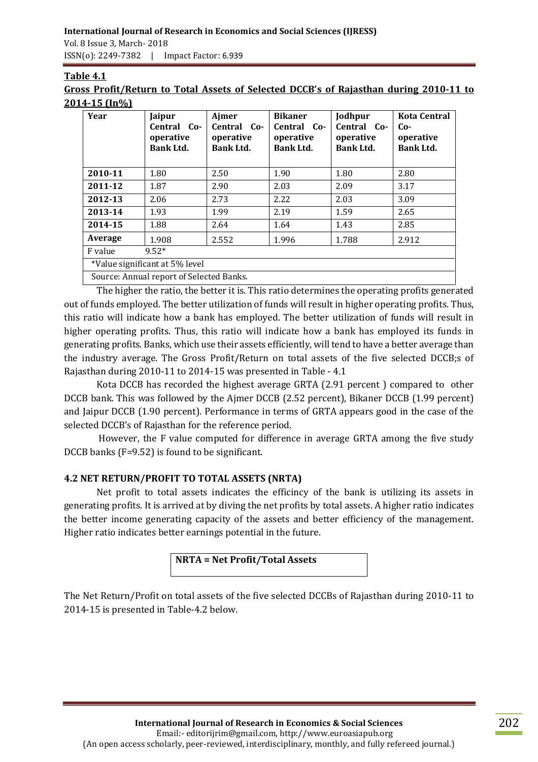#### **International Journal of Research in Economics and Social Sciences (IJRESS)**  Vol. 8 Issue 3, March- 2018

ISSN(o): 2249-7382 | Impact Factor: 6.939

# **Table 4.1**

**Gross Profit/Return to Total Assets of Selected DCCB's of Rajasthan during 2010-11 to 2014-15 (In%)**

| Year                           | Jaipur<br>Central Co-<br>operative<br><b>Bank Ltd.</b> | Ajmer<br>Central Co-<br>operative<br><b>Bank Ltd.</b> | <b>Bikaner</b><br>Central Co-<br>operative<br><b>Bank Ltd.</b> | Jodhpur<br>Central Co-<br>operative<br><b>Bank Ltd.</b> | <b>Kota Central</b><br>$Co-$<br>operative<br><b>Bank Ltd.</b> |  |
|--------------------------------|--------------------------------------------------------|-------------------------------------------------------|----------------------------------------------------------------|---------------------------------------------------------|---------------------------------------------------------------|--|
| 2010-11                        | 1.80                                                   | 2.50                                                  | 1.90                                                           | 1.80                                                    | 2.80                                                          |  |
| 2011-12                        | 1.87                                                   | 2.90                                                  | 2.03                                                           | 2.09                                                    | 3.17                                                          |  |
| 2012-13                        | 2.06                                                   | 2.73                                                  | 2.22                                                           | 2.03                                                    | 3.09                                                          |  |
| 2013-14                        | 1.93                                                   | 1.99                                                  | 2.19                                                           | 1.59                                                    | 2.65                                                          |  |
| 2014-15                        | 1.88                                                   | 2.64                                                  | 1.64                                                           | 1.43                                                    | 2.85                                                          |  |
| Average                        | 1.908                                                  | 2.552                                                 | 1.996                                                          | 1.788                                                   | 2.912                                                         |  |
| $9.52*$<br>F value             |                                                        |                                                       |                                                                |                                                         |                                                               |  |
| *Value significant at 5% level |                                                        |                                                       |                                                                |                                                         |                                                               |  |
|                                |                                                        |                                                       |                                                                |                                                         |                                                               |  |

Source: Annual report of Selected Banks.

The higher the ratio, the better it is. This ratio determines the operating profits generated out of funds employed. The better utilization of funds will result in higher operating profits. Thus, this ratio will indicate how a bank has employed. The better utilization of funds will result in higher operating profits. Thus, this ratio will indicate how a bank has employed its funds in generating profits. Banks, which use their assets efficiently, will tend to have a better average than the industry average. The Gross Profit/Return on total assets of the five selected DCCB;s of Rajasthan during 2010-11 to 2014-15 was presented in Table - 4.1

Kota DCCB has recorded the highest average GRTA (2.91 percent ) compared to other DCCB bank. This was followed by the Ajmer DCCB (2.52 percent), Bikaner DCCB (1.99 percent) and Jaipur DCCB (1.90 percent). Performance in terms of GRTA appears good in the case of the selected DCCB's of Rajasthan for the reference period.

However, the F value computed for difference in average GRTA among the five study DCCB banks (F=9.52) is found to be significant.

# **4.2 NET RETURN/PROFIT TO TOTAL ASSETS (NRTA)**

Net profit to total assets indicates the efficincy of the bank is utilizing its assets in generating profits. It is arrived at by diving the net profits by total assets. A higher ratio indicates the better income generating capacity of the assets and better efficiency of the management. Higher ratio indicates better earnings potential in the future.

# **NRTA = Net Profit/Total Assets**

The Net Return/Profit on total assets of the five selected DCCBs of Rajasthan during 2010-11 to 2014-15 is presented in Table-4.2 below.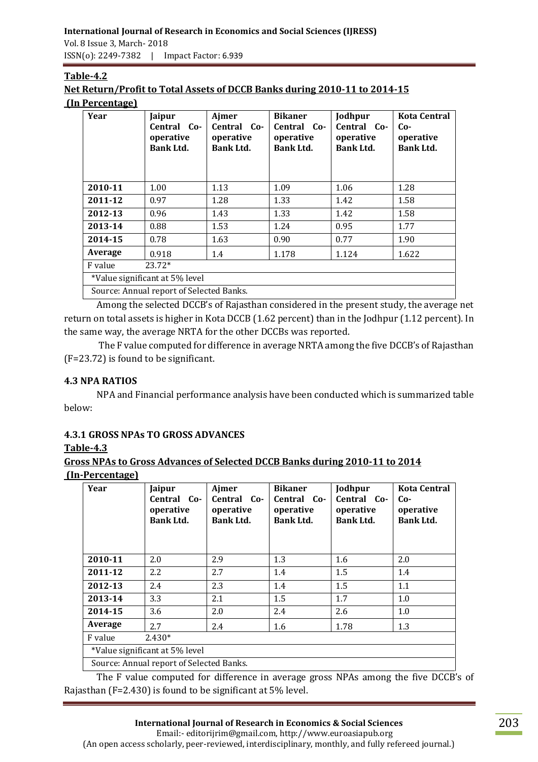ISSN(o): 2249-7382 | Impact Factor: 6.939

| Table-4.2                                                                 |
|---------------------------------------------------------------------------|
| Net Return/Profit to Total Assets of DCCB Banks during 2010-11 to 2014-15 |
| (In Percentage)                                                           |

| Year                                     | Jaipur<br>Central Co-<br>operative<br><b>Bank Ltd.</b> | Ajmer<br>Central Co-<br>operative<br><b>Bank Ltd.</b> | <b>Bikaner</b><br>Central Co-<br>operative<br><b>Bank Ltd.</b> | Jodhpur<br>Central Co-<br>operative<br><b>Bank Ltd.</b> | <b>Kota Central</b><br>$Co-$<br>operative<br><b>Bank Ltd.</b> |
|------------------------------------------|--------------------------------------------------------|-------------------------------------------------------|----------------------------------------------------------------|---------------------------------------------------------|---------------------------------------------------------------|
| 2010-11                                  | 1.00                                                   | 1.13                                                  | 1.09                                                           | 1.06                                                    | 1.28                                                          |
| 2011-12                                  | 0.97                                                   | 1.28                                                  | 1.33                                                           | 1.42                                                    | 1.58                                                          |
| 2012-13                                  | 0.96                                                   | 1.43                                                  | 1.33                                                           | 1.42                                                    | 1.58                                                          |
| 2013-14                                  | 0.88                                                   | 1.53                                                  | 1.24                                                           | 0.95                                                    | 1.77                                                          |
| 2014-15                                  | 0.78                                                   | 1.63                                                  | 0.90                                                           | 0.77                                                    | 1.90                                                          |
| Average                                  | 0.918                                                  | 1.4                                                   | 1.178                                                          | 1.124                                                   | 1.622                                                         |
| $23.72*$<br>F value                      |                                                        |                                                       |                                                                |                                                         |                                                               |
| *Value significant at 5% level           |                                                        |                                                       |                                                                |                                                         |                                                               |
| Source: Annual report of Selected Banks. |                                                        |                                                       |                                                                |                                                         |                                                               |

Among the selected DCCB's of Rajasthan considered in the present study, the average net return on total assets is higher in Kota DCCB (1.62 percent) than in the Jodhpur (1.12 percent). In the same way, the average NRTA for the other DCCBs was reported.

The F value computed for difference in average NRTA among the five DCCB's of Rajasthan (F=23.72) is found to be significant.

# **4.3 NPA RATIOS**

NPA and Financial performance analysis have been conducted which is summarized table below:

# **4.3.1 GROSS NPAs TO GROSS ADVANCES**

**Table-4.3**

| Gross NPAs to Gross Advances of Selected DCCB Banks during 2010-11 to 2014 |  |
|----------------------------------------------------------------------------|--|
| (In-Percentage)                                                            |  |

| Year                           | Jaipur<br>Central Co-<br>operative<br><b>Bank Ltd.</b> | Ajmer<br>Central Co-<br>operative<br><b>Bank Ltd.</b> | <b>Bikaner</b><br>Central Co-<br>operative<br><b>Bank Ltd.</b> | Jodhpur<br>Central Co-<br>operative<br><b>Bank Ltd.</b> | <b>Kota Central</b><br>$Co-$<br>operative<br><b>Bank Ltd.</b> |  |
|--------------------------------|--------------------------------------------------------|-------------------------------------------------------|----------------------------------------------------------------|---------------------------------------------------------|---------------------------------------------------------------|--|
| 2010-11                        | 2.0                                                    | 2.9                                                   | 1.3                                                            | 1.6                                                     | 2.0                                                           |  |
| 2011-12                        | $2.2\phantom{0}$                                       | 2.7                                                   | 1.4                                                            | 1.5                                                     | 1.4                                                           |  |
| 2012-13                        | 2.4                                                    | 2.3                                                   | 1.4                                                            | 1.5                                                     | 1.1                                                           |  |
| 2013-14                        | 3.3                                                    | 2.1                                                   | 1.5                                                            | 1.7                                                     | 1.0                                                           |  |
| 2014-15                        | 3.6                                                    | 2.0                                                   | 2.4                                                            | 2.6                                                     | 1.0                                                           |  |
| Average                        | 2.7                                                    | 2.4                                                   | 1.6                                                            | 1.78                                                    | 1.3                                                           |  |
| $2.430*$<br>F value            |                                                        |                                                       |                                                                |                                                         |                                                               |  |
| *Value significant at 5% level |                                                        |                                                       |                                                                |                                                         |                                                               |  |
|                                | Source: Annual report of Selected Banks.               |                                                       |                                                                |                                                         |                                                               |  |

The F value computed for difference in average gross NPAs among the five DCCB's of Rajasthan (F=2.430) is found to be significant at 5% level.

Email:- editorijrim@gmail.com, http://www.euroasiapub.org (An open access scholarly, peer-reviewed, interdisciplinary, monthly, and fully refereed journal.)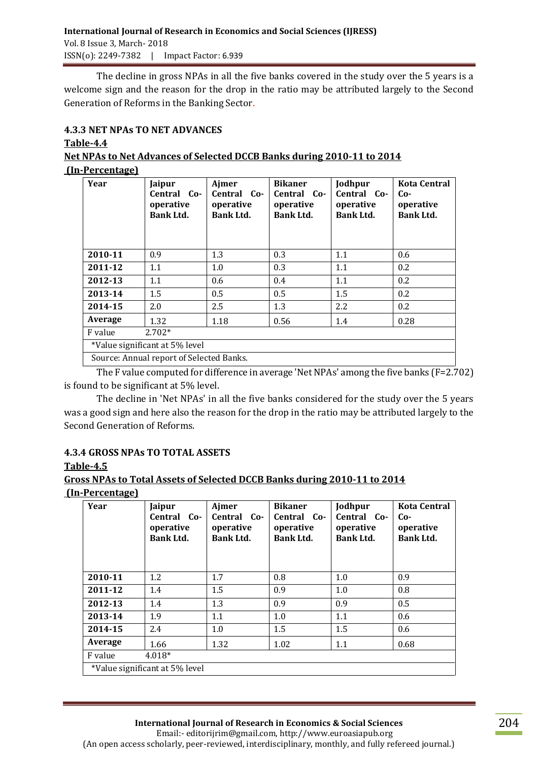The decline in gross NPAs in all the five banks covered in the study over the 5 years is a welcome sign and the reason for the drop in the ratio may be attributed largely to the Second Generation of Reforms in the Banking Sector.

## **4.3.3 NET NPAs TO NET ADVANCES**

#### **Table-4.4**

# **Net NPAs to Net Advances of Selected DCCB Banks during 2010-11 to 2014**

#### **(In-Percentage)**

| Year                                    | Jaipur<br>Central Co-<br>operative<br><b>Bank Ltd.</b> | Ajmer<br>Central Co-<br>operative<br><b>Bank Ltd.</b> | <b>Bikaner</b><br>Central Co-<br>operative<br><b>Bank Ltd.</b> | Jodhpur<br>Central Co-<br>operative<br><b>Bank Ltd.</b> | <b>Kota Central</b><br>Co-<br>operative<br><b>Bank Ltd.</b> |
|-----------------------------------------|--------------------------------------------------------|-------------------------------------------------------|----------------------------------------------------------------|---------------------------------------------------------|-------------------------------------------------------------|
| 2010-11                                 | 0.9                                                    | 1.3                                                   | 0.3                                                            | 1.1                                                     | 0.6                                                         |
| 2011-12                                 | 1.1                                                    | 1.0                                                   | 0.3                                                            | 1.1                                                     | 0.2                                                         |
| 2012-13                                 | 1.1                                                    | 0.6                                                   | 0.4                                                            | 1.1                                                     | 0.2                                                         |
| 2013-14                                 | 1.5                                                    | 0.5                                                   | 0.5                                                            | 1.5                                                     | 0.2                                                         |
| 2014-15                                 | 2.0                                                    | 2.5                                                   | 1.3                                                            | 2.2                                                     | 0.2                                                         |
| Average                                 | 1.32                                                   | 1.18                                                  | 0.56                                                           | 1.4                                                     | 0.28                                                        |
| $2.702*$<br>F value                     |                                                        |                                                       |                                                                |                                                         |                                                             |
| *Value significant at 5% level          |                                                        |                                                       |                                                                |                                                         |                                                             |
| Source: Annual report of Selected Raphs |                                                        |                                                       |                                                                |                                                         |                                                             |

Source: Annual report of Selected Banks.

The F value computed for difference in average 'Net NPAs' among the five banks ( $F=2.702$ ) is found to be significant at 5% level.

The decline in 'Net NPAs' in all the five banks considered for the study over the 5 years was a good sign and here also the reason for the drop in the ratio may be attributed largely to the Second Generation of Reforms.

# **4.3.4 GROSS NPAs TO TOTAL ASSETS**

## **Table-4.5**

## **Gross NPAs to Total Assets of Selected DCCB Banks during 2010-11 to 2014 (In-Percentage)**

| Year                           | Jaipur<br>Central Co-<br>operative<br><b>Bank Ltd.</b> | Ajmer<br>Central Co-<br>operative<br><b>Bank Ltd.</b> | <b>Bikaner</b><br>Central Co-<br>operative<br><b>Bank Ltd.</b> | Jodhpur<br>Central Co-<br>operative<br><b>Bank Ltd.</b> | <b>Kota Central</b><br>$Co-$<br>operative<br><b>Bank Ltd.</b> |
|--------------------------------|--------------------------------------------------------|-------------------------------------------------------|----------------------------------------------------------------|---------------------------------------------------------|---------------------------------------------------------------|
| 2010-11                        | 1.2                                                    | 1.7                                                   | 0.8                                                            | 1.0                                                     | 0.9                                                           |
| 2011-12                        | 1.4                                                    | 1.5                                                   | 0.9                                                            | 1.0                                                     | 0.8                                                           |
| 2012-13                        | 1.4                                                    | 1.3                                                   | 0.9                                                            | 0.9                                                     | 0.5                                                           |
| 2013-14                        | 1.9                                                    | 1.1                                                   | 1.0                                                            | 1.1                                                     | 0.6                                                           |
| 2014-15                        | 2.4                                                    | 1.0                                                   | 1.5                                                            | 1.5                                                     | 0.6                                                           |
| Average                        | 1.66                                                   | 1.32                                                  | 1.02                                                           | 1.1                                                     | 0.68                                                          |
| $4.018*$<br>F value            |                                                        |                                                       |                                                                |                                                         |                                                               |
| *Value significant at 5% level |                                                        |                                                       |                                                                |                                                         |                                                               |

(An open access scholarly, peer-reviewed, interdisciplinary, monthly, and fully refereed journal.)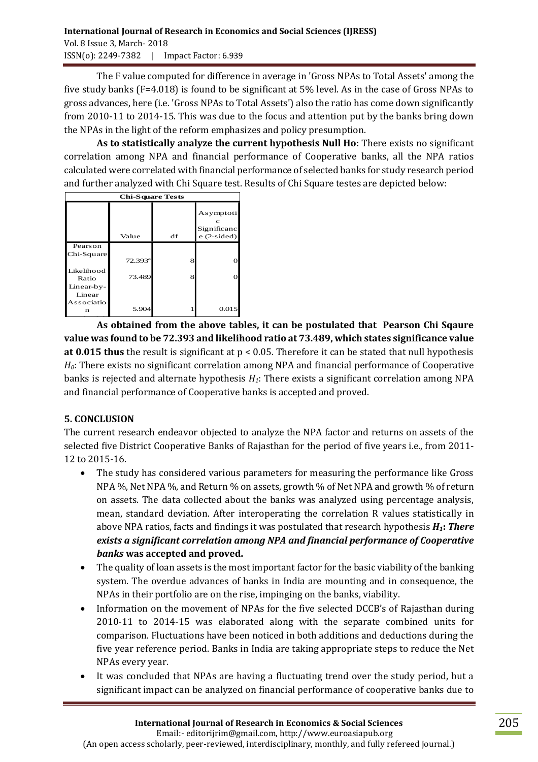The F value computed for difference in average in 'Gross NPAs to Total Assets' among the five study banks (F=4.018) is found to be significant at 5% level. As in the case of Gross NPAs to gross advances, here (i.e. 'Gross NPAs to Total Assets') also the ratio has come down significantly from 2010-11 to 2014-15. This was due to the focus and attention put by the banks bring down the NPAs in the light of the reform emphasizes and policy presumption.

**As to statistically analyze the current hypothesis Null Ho:** There exists no significant correlation among NPA and financial performance of Cooperative banks, all the NPA ratios calculated were correlated with financial performance of selected banks for study research period and further analyzed with Chi Square test. Results of Chi Square testes are depicted below:

| <b>Chi-Square Tests</b> |                  |    |                                          |  |  |  |
|-------------------------|------------------|----|------------------------------------------|--|--|--|
|                         | Value            | df | Asymptoti<br>Significanc<br>$e(2-sided)$ |  |  |  |
| Pearson                 |                  |    |                                          |  |  |  |
| Chi-Square              | $72.393^{\rm a}$ | 8  |                                          |  |  |  |
| Likelihood<br>Ratio     | 73.489           | 8  |                                          |  |  |  |
| Linear-by-              |                  |    |                                          |  |  |  |
| Linear                  |                  |    |                                          |  |  |  |
| Associatio<br>n         | 5.904            |    | 0.015                                    |  |  |  |

As obtained from the above tables, it can be postulated that Pearson Chi Sqaure **value was found to be 72.393 and likelihood ratio at 73.489, which states significance value at 0.015 thus** the result is significant at p < 0.05. Therefore it can be stated that null hypothesis *H0*: There exists no significant correlation among NPA and financial performance of Cooperative banks is rejected and alternate hypothesis *H1*: There exists a significant correlation among NPA and financial performance of Cooperative banks is accepted and proved. N of Valid

# **5. CONCLUSION**

The current research endeavor objected to analyze the NPA factor and returns on assets of the selected five District Cooperative Banks of Rajasthan for the period of five years i.e., from 2011- 12 to 2015-16.

- The study has considered various parameters for measuring the performance like Gross NPA %, Net NPA %, and Return % on assets, growth % of Net NPA and growth % of return on assets. The data collected about the banks was analyzed using percentage analysis, mean, standard deviation. After interoperating the correlation R values statistically in above NPA ratios, facts and findings it was postulated that research hypothesis *H1***:** *There exists a significant correlation among NPA and financial performance of Cooperative banks* **was accepted and proved.**
- The quality of loan assets is the most important factor for the basic viability of the banking system. The overdue advances of banks in India are mounting and in consequence, the NPAs in their portfolio are on the rise, impinging on the banks, viability.
- Information on the movement of NPAs for the five selected DCCB's of Rajasthan during 2010-11 to 2014-15 was elaborated along with the separate combined units for comparison. Fluctuations have been noticed in both additions and deductions during the five year reference period. Banks in India are taking appropriate steps to reduce the Net NPAs every year.
- It was concluded that NPAs are having a fluctuating trend over the study period, but a significant impact can be analyzed on financial performance of cooperative banks due to